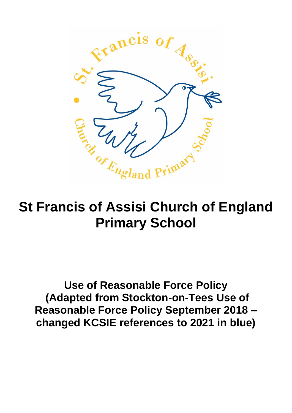

# **St Francis of Assisi Church of England Primary School**

**Use of Reasonable Force Policy (Adapted from Stockton-on-Tees Use of Reasonable Force Policy September 2018 – changed KCSIE references to 2021 in blue)**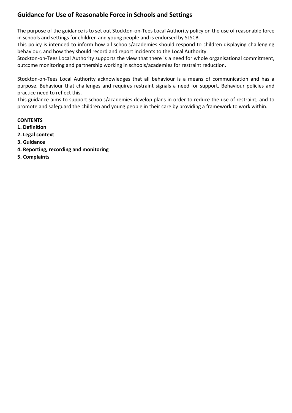# **Guidance for Use of Reasonable Force in Schools and Settings**

The purpose of the guidance is to set out Stockton-on-Tees Local Authority policy on the use of reasonable force in schools and settings for children and young people and is endorsed by SLSCB.

This policy is intended to inform how all schools/academies should respond to children displaying challenging behaviour, and how they should record and report incidents to the Local Authority.

Stockton-on-Tees Local Authority supports the view that there is a need for whole organisational commitment, outcome monitoring and partnership working in schools/academies for restraint reduction.

Stockton-on-Tees Local Authority acknowledges that all behaviour is a means of communication and has a purpose. Behaviour that challenges and requires restraint signals a need for support. Behaviour policies and practice need to reflect this.

This guidance aims to support schools/academies develop plans in order to reduce the use of restraint; and to promote and safeguard the children and young people in their care by providing a framework to work within.

# **CONTENTS**

- **1. Definition**
- **2. Legal context**
- **3. Guidance**
- **4. Reporting, recording and monitoring**
- **5. Complaints**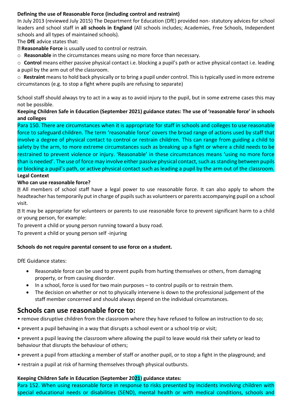# **Defining the use of Reasonable Force (including control and restraint)**

In July 2013 (reviewed July 2015) The Department for Education (DfE) provided non- statutory advices for school leaders and school staff in **all schools in England** (All schools includes; Academies, Free Schools, Independent schools and all types of maintained schools).

The **DfE** advice states that:

**Reasonable Force** is usually used to control or restrain.

o **Reasonable** in the circumstances means using no more force than necessary.

o **Control** means either passive physical contact i.e. blocking a pupil's path or active physical contact i.e. leading a pupil by the arm out of the classroom.

o **Restraint** means to hold back physically or to bring a pupil under control. This is typically used in more extreme circumstances (e.g. to stop a fight where pupils are refusing to separate)

School staff should always try to act in a way as to avoid injury to the pupil, but in some extreme cases this may not be possible.

# **Keeping Children Safe in Education (September 2021) guidance states: The use of 'reasonable force' in schools and colleges**

Para 150. There are circumstances when it is appropriate for staff in schools and colleges to use reasonable force to safeguard children. The term 'reasonable force' covers the broad range of actions used by staff that involve a degree of physical contact to control or restrain children. This can range from guiding a child to safety by the arm, to more extreme circumstances such as breaking up a fight or where a child needs to be restrained to prevent violence or injury. 'Reasonable' in these circumstances means 'using no more force than is needed'. The use of force may involve either passive physical contact, such as standing between pupils or blocking a pupil's path, or active physical contact such as leading a pupil by the arm out of the classroom. **Legal Context** 

# **Who can use reasonable force?**

All members of school staff have a legal power to use reasonable force. It can also apply to whom the headteacher has temporarily put in charge of pupils such as volunteers or parents accompanying pupil on a school visit.

It may be appropriate for volunteers or parents to use reasonable force to prevent significant harm to a child or young person, for example:

To prevent a child or young person running toward a busy road.

To prevent a child or young person self -injuring

#### **Schools do not require parental consent to use force on a student.**

DfE Guidance states:

- Reasonable force can be used to prevent pupils from hurting themselves or others, from damaging property, or from causing disorder.
- In a school, force is used for two main purposes to control pupils or to restrain them.
- The decision on whether or not to physically intervene is down to the professional judgement of the staff member concerned and should always depend on the individual circumstances.

# **Schools can use reasonable force to:**

- remove disruptive children from the classroom where they have refused to follow an instruction to do so;
- prevent a pupil behaving in a way that disrupts a school event or a school trip or visit;
- prevent a pupil leaving the classroom where allowing the pupil to leave would risk their safety or lead to behaviour that disrupts the behaviour of others;
- prevent a pupil from attacking a member of staff or another pupil, or to stop a fight in the playground; and
- restrain a pupil at risk of harming themselves through physical outbursts.

#### **Keeping Children Safe in Education (September 2021) guidance states:**

Para 152. When using reasonable force in response to risks presented by incidents involving children with special educational needs or disabilities (SEND), mental health or with medical conditions, schools and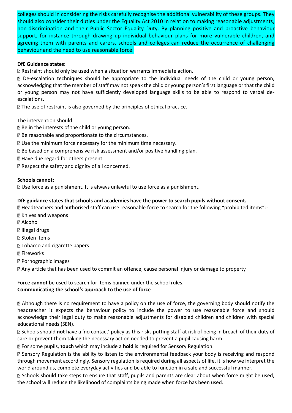colleges should in considering the risks carefully recognise the additional vulnerability of these groups. They should also consider their duties under the Equality Act 2010 in relation to making reasonable adjustments, non-discrimination and their Public Sector Equality Duty. By planning positive and proactive behaviour support, for instance through drawing up individual behaviour plans for more vulnerable children, and agreeing them with parents and carers, schools and colleges can reduce the occurrence of challenging behaviour and the need to use reasonable force.

# **DfE Guidance states:**

Restraint should only be used when a situation warrants immediate action.

De-escalation techniques should be appropriate to the individual needs of the child or young person, acknowledging that the member of staff may not speak the child or young person's first language or that the child or young person may not have sufficiently developed language skills to be able to respond to verbal deescalations.

The use of restraint is also governed by the principles of ethical practice.

The intervention should:

**B** Be in the interests of the child or young person.

Be reasonable and proportionate to the circumstances.

Use the minimum force necessary for the minimum time necessary.

- **Be based on a comprehensive risk assessment and/or positive handling plan.**
- **E** Have due regard for others present.

**Respect the safety and dignity of all concerned.** 

#### **Schools cannot:**

Use force as a punishment. It is always unlawful to use force as a punishment.

#### **DfE guidance states that schools and academies have the power to search pupils without consent.**

Headteachers and authorised staff can use reasonable force to search for the following "prohibited items":- Knives and weapons

**图 Alcohol D** Illegal drugs **图 Stolen items** Tobacco and cigarette papers **图 Fireworks** Pornographic images Any article that has been used to commit an offence, cause personal injury or damage to property

Force **cannot** be used to search for items banned under the school rules. **Communicating the school's approach to the use of force** 

Although there is no requirement to have a policy on the use of force, the governing body should notify the headteacher it expects the behaviour policy to include the power to use reasonable force and should acknowledge their legal duty to make reasonable adjustments for disabled children and children with special educational needs (SEN).

Schools should **not** have a 'no contact' policy as this risks putting staff at risk of being in breach of their duty of care or prevent them taking the necessary action needed to prevent a pupil causing harm.

For some pupils, **touch** which may include a **hold** is required for Sensory Regulation.

Sensory Regulation is the ability to listen to the environmental feedback your body is receiving and respond through movement accordingly. Sensory regulation is required during all aspects of life, it is how we interpret the world around us, complete everyday activities and be able to function in a safe and successful manner.

Schools should take steps to ensure that staff, pupils and parents are clear about when force might be used, the school will reduce the likelihood of complaints being made when force has been used.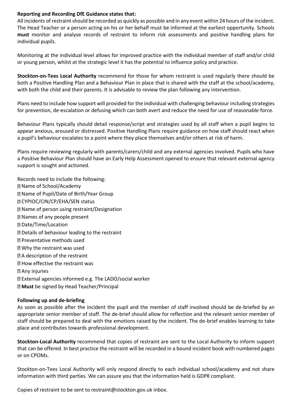#### **Reporting and Recording DfE Guidance states that:**

All incidents of restraint should be recorded as quickly as possible and in any event within 24 hours of the incident. The Head Teacher or a person acting on his or her behalf must be informed at the earliest opportunity. Schools **must** monitor and analyse records of restraint to inform risk assessments and positive handling plans for individual pupils.

Monitoring at the individual level allows for improved practice with the individual member of staff and/or child or young person, whilst at the strategic level it has the potential to influence policy and practice.

**Stockton-on-Tees Local Authority** recommend for those for whom restraint is used regularly there should be both a Positive Handling Plan and a Behaviour Plan in place that is shared with the staff at the school/academy, with both the child and their parents. It is advisable to review the plan following any intervention.

Plans need to include how support will provided for the individual with challenging behaviour including strategies for prevention, de-escalation or defusing which can both avert and reduce the need for use of reasonable force.

Behaviour Plans typically should detail response/script and strategies used by all staff when a pupil begins to appear anxious, aroused or distressed. Positive Handling Plans require guidance on how staff should react when a pupil's behaviour escalates to a point where they place themselves and/or others at risk of harm.

Plans require reviewing regularly with parents/carers/child and any external agencies involved. Pupils who have a Positive Behaviour Plan should have an Early Help Assessment opened to ensure that relevant external agency support is sought and actioned.

Records need to include the following: Name of School/Academy Name of Pupil/Date of Birth/Year Group **M** CYPIOC/CIN/CP/EHA/SEN status Name of person using restraint/Designation Names of any people present **Date/Time/Location** Details of behaviour leading to the restraint Preventative methods used Why the restraint was used A description of the restraint **EX How effective the restraint was** Any injuries External agencies informed e.g. The LADO/social worker **Must** be signed by Head Teacher/Principal

#### **Following up and de-briefing**

As soon as possible after the incident the pupil and the member of staff involved should be de-briefed by an appropriate senior member of staff. The de-brief should allow for reflection and the relevant senior member of staff should be prepared to deal with the emotions raised by the incident. The de-brief enables learning to take place and contributes towards professional development.

**Stockton-Local Authority** recommend that copies of restraint are sent to the Local Authority to inform support that can be offered. In best practice the restraint will be recorded in a bound incident book with numbered pages or on CPOMs.

Stockton-on-Tees Local Authority will only respond directly to each individual school/academy and not share information with third parties. We can assure you that the information held is GDPR compliant.

Copies of restraint to be sent to restraint@stockton.gov.uk inbox.